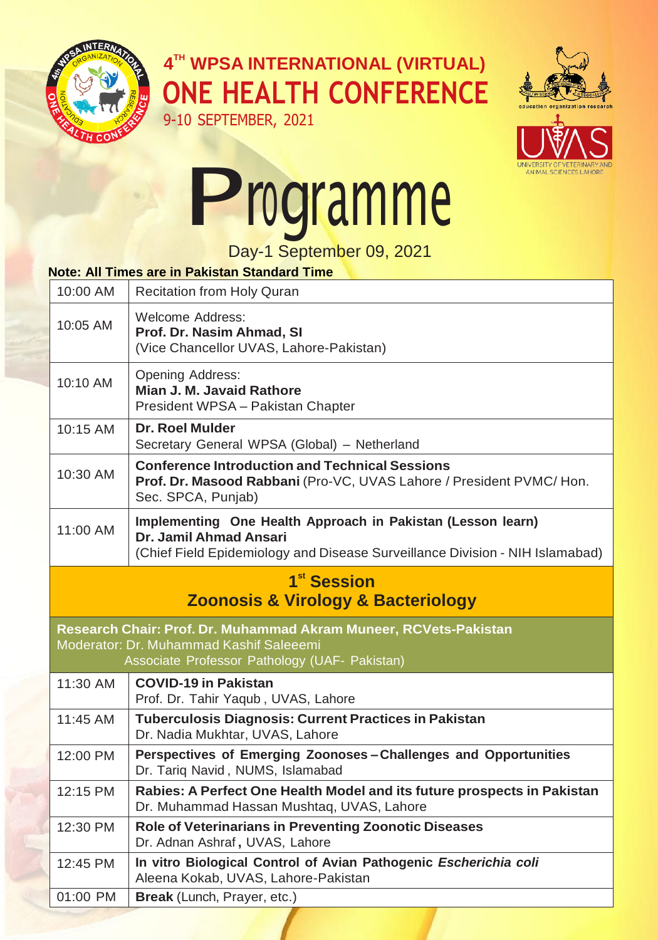

**4 TH WPSA INTERNATIONAL (VIRTUAL) ONE HEALTH CONFERENCE**





## Programme

Day-1 September 09, 2021

## **Note: All Times are in Pakistan Standard Time**

| 10:00 AM                                                                                                                                                     | Recitation from Holy Quran                                                                                                                                            |  |
|--------------------------------------------------------------------------------------------------------------------------------------------------------------|-----------------------------------------------------------------------------------------------------------------------------------------------------------------------|--|
| 10:05 AM                                                                                                                                                     | <b>Welcome Address:</b><br>Prof. Dr. Nasim Ahmad, SI<br>(Vice Chancellor UVAS, Lahore-Pakistan)                                                                       |  |
| 10:10 AM                                                                                                                                                     | Opening Address:<br>Mian J. M. Javaid Rathore<br>President WPSA - Pakistan Chapter                                                                                    |  |
| 10:15 AM                                                                                                                                                     | Dr. Roel Mulder<br>Secretary General WPSA (Global) - Netherland                                                                                                       |  |
| 10:30 AM                                                                                                                                                     | <b>Conference Introduction and Technical Sessions</b><br>Prof. Dr. Masood Rabbani (Pro-VC, UVAS Lahore / President PVMC/ Hon.<br>Sec. SPCA, Punjab)                   |  |
| 11:00 AM                                                                                                                                                     | Implementing One Health Approach in Pakistan (Lesson learn)<br>Dr. Jamil Ahmad Ansari<br>(Chief Field Epidemiology and Disease Surveillance Division - NIH Islamabad) |  |
| 1 <sup>st</sup> Session<br><b>Zoonosis &amp; Virology &amp; Bacteriology</b>                                                                                 |                                                                                                                                                                       |  |
| Research Chair: Prof. Dr. Muhammad Akram Muneer, RCVets-Pakistan<br>Moderator: Dr. Muhammad Kashif Saleeemi<br>Associate Professor Pathology (UAF- Pakistan) |                                                                                                                                                                       |  |
| 11:30 AM                                                                                                                                                     | <b>COVID-19 in Pakistan</b><br>Prof. Dr. Tahir Yaqub, UVAS, Lahore                                                                                                    |  |
| 11:45 AM                                                                                                                                                     | <b>Tuberculosis Diagnosis: Current Practices in Pakistan</b><br>Dr. Nadia Mukhtar, UVAS, Lahore                                                                       |  |
| 12:00 PM                                                                                                                                                     | Perspectives of Emerging Zoonoses-Challenges and Opportunities<br>Dr. Tariq Navid, NUMS, Islamabad                                                                    |  |
| 12:15 PM                                                                                                                                                     | Rabies: A Perfect One Health Model and its future prospects in Pakistan<br>Dr. Muhammad Hassan Mushtaq, UVAS, Lahore                                                  |  |
| 12:30 PM                                                                                                                                                     | Role of Veterinarians in Preventing Zoonotic Diseases<br>Dr. Adnan Ashraf, UVAS, Lahore                                                                               |  |
| 12:45 PM                                                                                                                                                     | In vitro Biological Control of Avian Pathogenic Escherichia coli<br>Aleena Kokab, UVAS, Lahore-Pakistan                                                               |  |
| 01:00 PM                                                                                                                                                     | Break (Lunch, Prayer, etc.)                                                                                                                                           |  |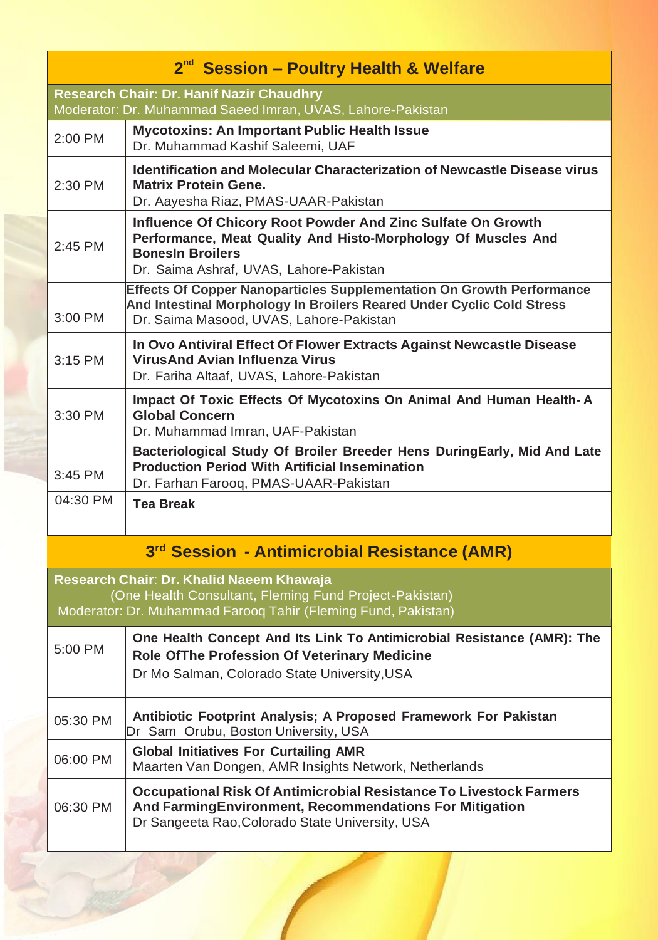| 2 <sup>nd</sup> Session - Poultry Health & Welfare                                                                                                                  |                                                                                                                                                                                                    |  |
|---------------------------------------------------------------------------------------------------------------------------------------------------------------------|----------------------------------------------------------------------------------------------------------------------------------------------------------------------------------------------------|--|
| <b>Research Chair: Dr. Hanif Nazir Chaudhry</b><br>Moderator: Dr. Muhammad Saeed Imran, UVAS, Lahore-Pakistan                                                       |                                                                                                                                                                                                    |  |
| 2:00 PM                                                                                                                                                             | <b>Mycotoxins: An Important Public Health Issue</b><br>Dr. Muhammad Kashif Saleemi, UAF                                                                                                            |  |
| 2:30 PM                                                                                                                                                             | <b>Identification and Molecular Characterization of Newcastle Disease virus</b><br><b>Matrix Protein Gene.</b><br>Dr. Aayesha Riaz, PMAS-UAAR-Pakistan                                             |  |
| 2:45 PM                                                                                                                                                             | Influence Of Chicory Root Powder And Zinc Sulfate On Growth<br>Performance, Meat Quality And Histo-Morphology Of Muscles And<br><b>BonesIn Broilers</b><br>Dr. Saima Ashraf, UVAS, Lahore-Pakistan |  |
| 3:00 PM                                                                                                                                                             | Effects Of Copper Nanoparticles Supplementation On Growth Performance<br>And Intestinal Morphology In Broilers Reared Under Cyclic Cold Stress<br>Dr. Saima Masood, UVAS, Lahore-Pakistan          |  |
| 3:15 PM                                                                                                                                                             | In Ovo Antiviral Effect Of Flower Extracts Against Newcastle Disease<br><b>VirusAnd Avian Influenza Virus</b><br>Dr. Fariha Altaaf, UVAS, Lahore-Pakistan                                          |  |
| 3:30 PM                                                                                                                                                             | Impact Of Toxic Effects Of Mycotoxins On Animal And Human Health-A<br><b>Global Concern</b><br>Dr. Muhammad Imran, UAF-Pakistan                                                                    |  |
| $3:45$ PM                                                                                                                                                           | Bacteriological Study Of Broiler Breeder Hens DuringEarly, Mid And Late<br><b>Production Period With Artificial Insemination</b><br>Dr. Farhan Farooq, PMAS-UAAR-Pakistan                          |  |
| 04:30 PM                                                                                                                                                            | <b>Tea Break</b>                                                                                                                                                                                   |  |
| 3rd Session - Antimicrobial Resistance (AMR)                                                                                                                        |                                                                                                                                                                                                    |  |
| Research Chair: Dr. Khalid Naeem Khawaja<br>(One Health Consultant, Fleming Fund Project-Pakistan)<br>Moderator: Dr. Muhammad Farooq Tahir (Fleming Fund, Pakistan) |                                                                                                                                                                                                    |  |
| 5:00 PM                                                                                                                                                             | One Health Concept And Its Link To Antimicrobial Resistance (AMR): The<br>Role Of The Profession Of Veterinary Medicine<br>Dr Mo Salman, Colorado State University, USA                            |  |
| 05:30 PM                                                                                                                                                            | Antibiotic Footprint Analysis; A Proposed Framework For Pakistan<br>Dr Sam Orubu, Boston University, USA                                                                                           |  |
| 06:00 PM                                                                                                                                                            | <b>Global Initiatives For Curtailing AMR</b><br>Maarten Van Dongen, AMR Insights Network, Netherlands                                                                                              |  |
| 06:30 PM                                                                                                                                                            | <b>Occupational Risk Of Antimicrobial Resistance To Livestock Farmers</b><br>And Farming Environment, Recommendations For Mitigation<br>Dr Sangeeta Rao, Colorado State University, USA            |  |